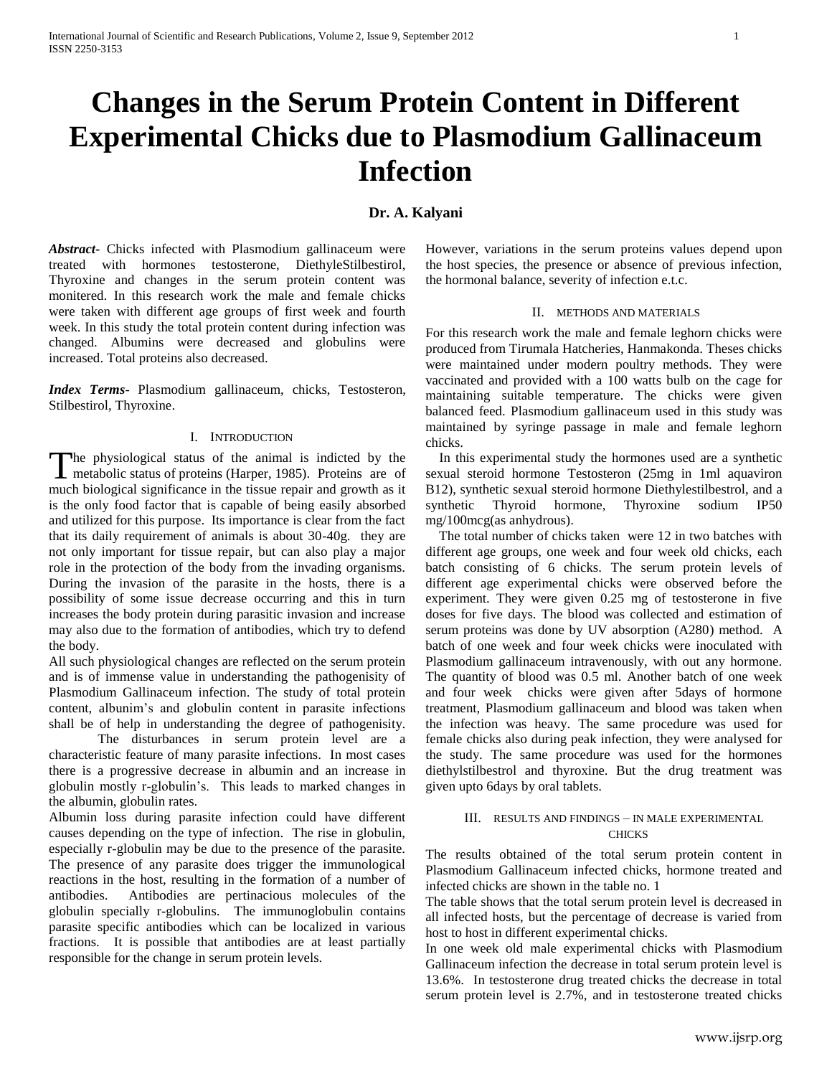# **Changes in the Serum Protein Content in Different Experimental Chicks due to Plasmodium Gallinaceum Infection**

## **Dr. A. Kalyani**

*Abstract***-** Chicks infected with Plasmodium gallinaceum were treated with hormones testosterone, DiethyleStilbestirol, Thyroxine and changes in the serum protein content was monitered. In this research work the male and female chicks were taken with different age groups of first week and fourth week. In this study the total protein content during infection was changed. Albumins were decreased and globulins were increased. Total proteins also decreased.

*Index Terms*- Plasmodium gallinaceum, chicks, Testosteron, Stilbestirol, Thyroxine.

## I. INTRODUCTION

The physiological status of the animal is indicted by the The physiological status of the animal is indicted by the metabolic status of proteins (Harper, 1985). Proteins are of much biological significance in the tissue repair and growth as it is the only food factor that is capable of being easily absorbed and utilized for this purpose. Its importance is clear from the fact that its daily requirement of animals is about 30-40g. they are not only important for tissue repair, but can also play a major role in the protection of the body from the invading organisms. During the invasion of the parasite in the hosts, there is a possibility of some issue decrease occurring and this in turn increases the body protein during parasitic invasion and increase may also due to the formation of antibodies, which try to defend the body.

All such physiological changes are reflected on the serum protein and is of immense value in understanding the pathogenisity of Plasmodium Gallinaceum infection. The study of total protein content, albunim's and globulin content in parasite infections shall be of help in understanding the degree of pathogenisity.

The disturbances in serum protein level are a characteristic feature of many parasite infections. In most cases there is a progressive decrease in albumin and an increase in globulin mostly r-globulin's. This leads to marked changes in the albumin, globulin rates.

Albumin loss during parasite infection could have different causes depending on the type of infection. The rise in globulin, especially r-globulin may be due to the presence of the parasite. The presence of any parasite does trigger the immunological reactions in the host, resulting in the formation of a number of antibodies. Antibodies are pertinacious molecules of the globulin specially r-globulins. The immunoglobulin contains parasite specific antibodies which can be localized in various fractions. It is possible that antibodies are at least partially responsible for the change in serum protein levels.

However, variations in the serum proteins values depend upon the host species, the presence or absence of previous infection, the hormonal balance, severity of infection e.t.c.

#### II. METHODS AND MATERIALS

For this research work the male and female leghorn chicks were produced from Tirumala Hatcheries, Hanmakonda. Theses chicks were maintained under modern poultry methods. They were vaccinated and provided with a 100 watts bulb on the cage for maintaining suitable temperature. The chicks were given balanced feed. Plasmodium gallinaceum used in this study was maintained by syringe passage in male and female leghorn chicks.

 In this experimental study the hormones used are a synthetic sexual steroid hormone Testosteron (25mg in 1ml aquaviron B12), synthetic sexual steroid hormone Diethylestilbestrol, and a synthetic Thyroid hormone, Thyroxine sodium IP50 mg/100mcg(as anhydrous).

 The total number of chicks taken were 12 in two batches with different age groups, one week and four week old chicks, each batch consisting of 6 chicks. The serum protein levels of different age experimental chicks were observed before the experiment. They were given 0.25 mg of testosterone in five doses for five days. The blood was collected and estimation of serum proteins was done by UV absorption (A280) method. A batch of one week and four week chicks were inoculated with Plasmodium gallinaceum intravenously, with out any hormone. The quantity of blood was 0.5 ml. Another batch of one week and four week chicks were given after 5days of hormone treatment, Plasmodium gallinaceum and blood was taken when the infection was heavy. The same procedure was used for female chicks also during peak infection, they were analysed for the study. The same procedure was used for the hormones diethylstilbestrol and thyroxine. But the drug treatment was given upto 6days by oral tablets.

## III. RESULTS AND FINDINGS – IN MALE EXPERIMENTAL **CHICKS**

The results obtained of the total serum protein content in Plasmodium Gallinaceum infected chicks, hormone treated and infected chicks are shown in the table no. 1

The table shows that the total serum protein level is decreased in all infected hosts, but the percentage of decrease is varied from host to host in different experimental chicks.

In one week old male experimental chicks with Plasmodium Gallinaceum infection the decrease in total serum protein level is 13.6%. In testosterone drug treated chicks the decrease in total serum protein level is 2.7%, and in testosterone treated chicks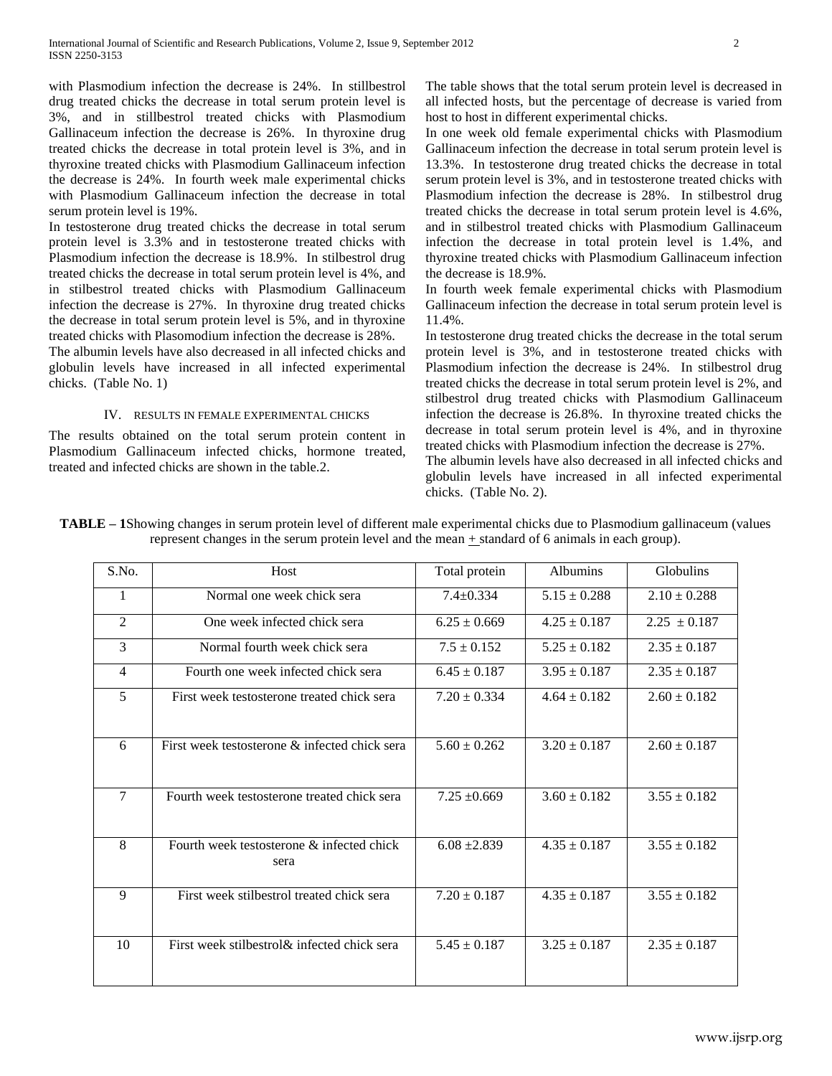with Plasmodium infection the decrease is 24%. In stillbestrol drug treated chicks the decrease in total serum protein level is 3%, and in stillbestrol treated chicks with Plasmodium Gallinaceum infection the decrease is 26%. In thyroxine drug treated chicks the decrease in total protein level is 3%, and in thyroxine treated chicks with Plasmodium Gallinaceum infection the decrease is 24%. In fourth week male experimental chicks with Plasmodium Gallinaceum infection the decrease in total serum protein level is 19%.

In testosterone drug treated chicks the decrease in total serum protein level is 3.3% and in testosterone treated chicks with Plasmodium infection the decrease is 18.9%. In stilbestrol drug treated chicks the decrease in total serum protein level is 4%, and in stilbestrol treated chicks with Plasmodium Gallinaceum infection the decrease is 27%. In thyroxine drug treated chicks the decrease in total serum protein level is 5%, and in thyroxine treated chicks with Plasomodium infection the decrease is 28%.

The albumin levels have also decreased in all infected chicks and globulin levels have increased in all infected experimental chicks. (Table No. 1)

#### IV. RESULTS IN FEMALE EXPERIMENTAL CHICKS

The results obtained on the total serum protein content in Plasmodium Gallinaceum infected chicks, hormone treated, treated and infected chicks are shown in the table.2.

The table shows that the total serum protein level is decreased in all infected hosts, but the percentage of decrease is varied from host to host in different experimental chicks.

In one week old female experimental chicks with Plasmodium Gallinaceum infection the decrease in total serum protein level is 13.3%. In testosterone drug treated chicks the decrease in total serum protein level is 3%, and in testosterone treated chicks with Plasmodium infection the decrease is 28%. In stilbestrol drug treated chicks the decrease in total serum protein level is 4.6%, and in stilbestrol treated chicks with Plasmodium Gallinaceum infection the decrease in total protein level is 1.4%, and thyroxine treated chicks with Plasmodium Gallinaceum infection the decrease is 18.9%.

In fourth week female experimental chicks with Plasmodium Gallinaceum infection the decrease in total serum protein level is 11.4%.

In testosterone drug treated chicks the decrease in the total serum protein level is 3%, and in testosterone treated chicks with Plasmodium infection the decrease is 24%. In stilbestrol drug treated chicks the decrease in total serum protein level is 2%, and stilbestrol drug treated chicks with Plasmodium Gallinaceum infection the decrease is 26.8%. In thyroxine treated chicks the decrease in total serum protein level is 4%, and in thyroxine treated chicks with Plasmodium infection the decrease is 27%. The albumin levels have also decreased in all infected chicks and globulin levels have increased in all infected experimental chicks. (Table No. 2).

| S.No.          | Host                                              | Total protein    | <b>Albumins</b>  | Globulins        |
|----------------|---------------------------------------------------|------------------|------------------|------------------|
| 1              | Normal one week chick sera                        | $7.4 \pm 0.334$  | $5.15 \pm 0.288$ | $2.10 \pm 0.288$ |
| $\overline{2}$ | One week infected chick sera                      | $6.25 \pm 0.669$ | $4.25 \pm 0.187$ | $2.25 \pm 0.187$ |
| 3              | Normal fourth week chick sera                     | $7.5 \pm 0.152$  | $5.25 \pm 0.182$ | $2.35 \pm 0.187$ |
| $\overline{4}$ | Fourth one week infected chick sera               | $6.45 \pm 0.187$ | $3.95 \pm 0.187$ | $2.35 \pm 0.187$ |
| 5              | First week testosterone treated chick sera        | $7.20 \pm 0.334$ | $4.64 \pm 0.182$ | $2.60 \pm 0.182$ |
| 6              | First week testosterone & infected chick sera     | $5.60 \pm 0.262$ | $3.20 \pm 0.187$ | $2.60 \pm 0.187$ |
| 7              | Fourth week testosterone treated chick sera       | $7.25 \pm 0.669$ | $3.60 \pm 0.182$ | $3.55 \pm 0.182$ |
| 8              | Fourth week testosterone & infected chick<br>sera | $6.08 \pm 2.839$ | $4.35 \pm 0.187$ | $3.55 \pm 0.182$ |
| 9              | First week stilbestrol treated chick sera         | $7.20 \pm 0.187$ | $4.35 \pm 0.187$ | $3.55 \pm 0.182$ |
| 10             | First week stilbestrol & infected chick sera      | $5.45 \pm 0.187$ | $3.25 \pm 0.187$ | $2.35 \pm 0.187$ |

**TABLE – 1**Showing changes in serum protein level of different male experimental chicks due to Plasmodium gallinaceum (values represent changes in the serum protein level and the mean + standard of 6 animals in each group).

www.ijsrp.org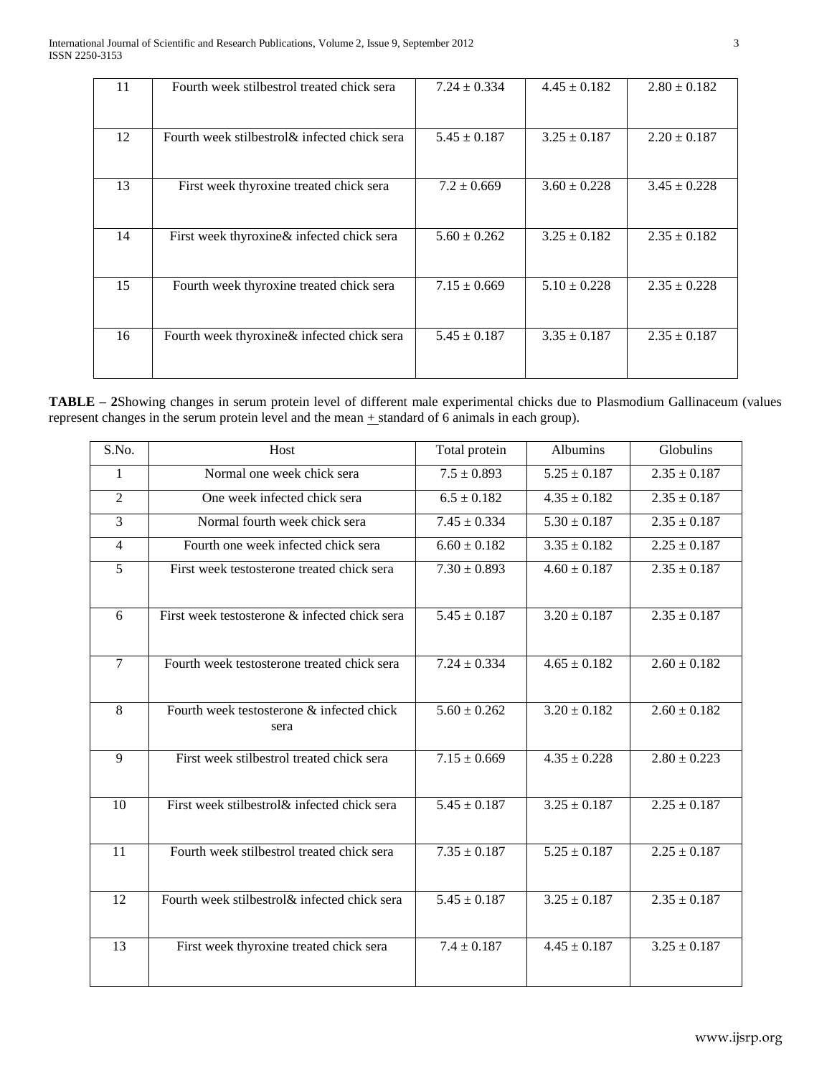| 11 | Fourth week stilbestrol treated chick sera    | $7.24 \pm 0.334$ | $4.45 \pm 0.182$ | $2.80 \pm 0.182$ |
|----|-----------------------------------------------|------------------|------------------|------------------|
| 12 | Fourth week stilbestrol & infected chick sera | $5.45 \pm 0.187$ | $3.25 \pm 0.187$ | $2.20 \pm 0.187$ |
| 13 | First week thyroxine treated chick sera       | $7.2 \pm 0.669$  | $3.60 \pm 0.228$ | $3.45 \pm 0.228$ |
| 14 | First week thyroxine & infected chick sera    | $5.60 \pm 0.262$ | $3.25 \pm 0.182$ | $2.35 \pm 0.182$ |
| 15 | Fourth week thyroxine treated chick sera      | $7.15 \pm 0.669$ | $5.10 \pm 0.228$ | $2.35 \pm 0.228$ |
| 16 | Fourth week thyroxine & infected chick sera   | $5.45 \pm 0.187$ | $3.35 \pm 0.187$ | $2.35 \pm 0.187$ |

**TABLE – 2**Showing changes in serum protein level of different male experimental chicks due to Plasmodium Gallinaceum (values represent changes in the serum protein level and the mean  $\pm$  standard of 6 animals in each group).

| S.No.          | Host                                              | Total protein               | <b>Albumins</b>            | Globulins        |
|----------------|---------------------------------------------------|-----------------------------|----------------------------|------------------|
| $\mathbf{1}$   | Normal one week chick sera                        | $7.5 \pm 0.893$             | $5.25 \pm 0.187$           | $2.35 \pm 0.187$ |
| $\overline{2}$ | One week infected chick sera                      | $6.5 \pm 0.182$             | $4.35 \pm 0.182$           | $2.35 \pm 0.187$ |
| 3              | Normal fourth week chick sera                     | $7.45 \pm 0.334$            | $5.30 \pm 0.187$           | $2.35 \pm 0.187$ |
| $\overline{4}$ | Fourth one week infected chick sera               | $6.60 \pm 0.182$            | $3.35 \pm 0.182$           | $2.25 \pm 0.187$ |
| 5              | First week testosterone treated chick sera        | $7.30 \pm 0.893$            | $4.60 \pm 0.187$           | $2.35 \pm 0.187$ |
| 6              | First week testosterone & infected chick sera     | $5.45 \pm 0.187$            | $3.20 \pm 0.187$           | $2.35 \pm 0.187$ |
| $\overline{7}$ | Fourth week testosterone treated chick sera       | $7.24 \pm 0.334$            | $4.65 \pm 0.182$           | $2.60 \pm 0.182$ |
| 8              | Fourth week testosterone & infected chick<br>sera | $5.60 \pm 0.262$            | $3.20 \pm 0.182$           | $2.60 \pm 0.182$ |
| $\overline{9}$ | First week stilbestrol treated chick sera         | $7.15 \pm 0.669$            | $\frac{4.35 \pm 0.228}{2}$ | $2.80 \pm 0.223$ |
| 10             | First week stilbestrol& infected chick sera       | $5.45 \pm 0.187$            | $3.25 \pm 0.187$           | $2.25 \pm 0.187$ |
| 11             | Fourth week stilbestrol treated chick sera        | $7.35 \pm 0.187$            | $\overline{5.25\pm 0.187}$ | $2.25 \pm 0.187$ |
| 12             | Fourth week stilbestrol & infected chick sera     | $\overline{5.45} \pm 0.187$ | $3.25 \pm 0.187$           | $2.35 \pm 0.187$ |
| 13             | First week thyroxine treated chick sera           | $7.4 \pm 0.187$             | $4.45 \pm 0.187$           | $3.25 \pm 0.187$ |